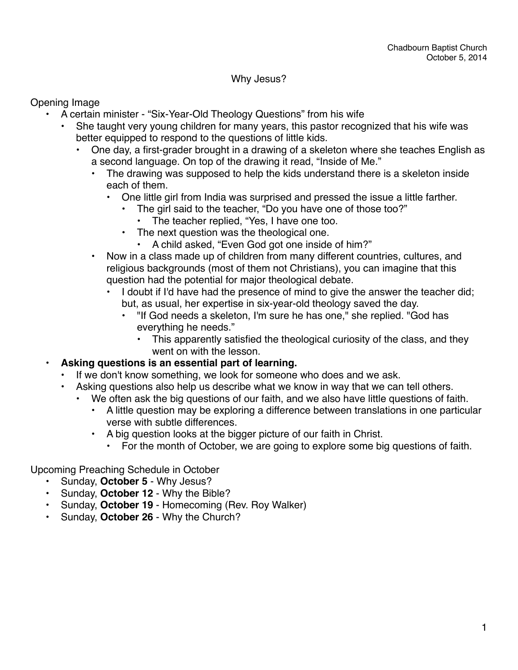#### Why Jesus?

Opening Image

- A certain minister "Six-Year-Old Theology Questions" from his wife
	- She taught very young children for many years, this pastor recognized that his wife was better equipped to respond to the questions of little kids.
		- One day, a first-grader brought in a drawing of a skeleton where she teaches English as a second language. On top of the drawing it read, "Inside of Me."
			- The drawing was supposed to help the kids understand there is a skeleton inside each of them.
				- One little girl from India was surprised and pressed the issue a little farther.
					- The girl said to the teacher, "Do you have one of those too?"
					- The teacher replied, "Yes, I have one too.
					- The next question was the theological one.
						- A child asked, "Even God got one inside of him?"
			- Now in a class made up of children from many different countries, cultures, and religious backgrounds (most of them not Christians), you can imagine that this question had the potential for major theological debate.
				- I doubt if I'd have had the presence of mind to give the answer the teacher did; but, as usual, her expertise in six-year-old theology saved the day.
					- "If God needs a skeleton, I'm sure he has one," she replied. "God has everything he needs."
						- This apparently satisfied the theological curiosity of the class, and they went on with the lesson.

#### **• Asking questions is an essential part of learning.**

- If we don't know something, we look for someone who does and we ask.
	- Asking questions also help us describe what we know in way that we can tell others.
		- We often ask the big questions of our faith, and we also have little questions of faith.
			- A little question may be exploring a difference between translations in one particular verse with subtle differences.
			- A big question looks at the bigger picture of our faith in Christ.
				- For the month of October, we are going to explore some big questions of faith.

Upcoming Preaching Schedule in October

- Sunday, **October 5** Why Jesus?
- Sunday, **October 12** Why the Bible?
- Sunday, **October 19** Homecoming (Rev. Roy Walker)
- Sunday, **October 26** Why the Church?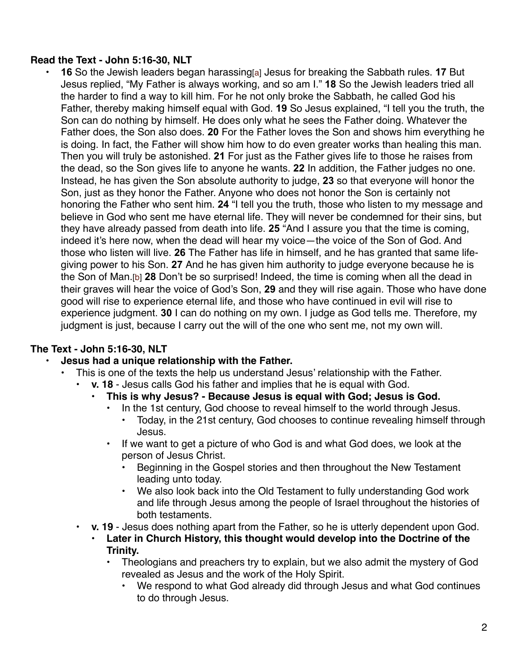### **Read the Text - John 5:16-30, NLT**

• **16** So the Jewish leaders began harassing[a] Jesus for breaking the Sabbath rules. **17** But Jesus replied, "My Father is always working, and so am I." **18** So the Jewish leaders tried all the harder to find a way to kill him. For he not only broke the Sabbath, he called God his Father, thereby making himself equal with God. **19** So Jesus explained, "I tell you the truth, the Son can do nothing by himself. He does only what he sees the Father doing. Whatever the Father does, the Son also does. **20** For the Father loves the Son and shows him everything he is doing. In fact, the Father will show him how to do even greater works than healing this man. Then you will truly be astonished. **21** For just as the Father gives life to those he raises from the dead, so the Son gives life to anyone he wants. **22** In addition, the Father judges no one. Instead, he has given the Son absolute authority to judge, **23** so that everyone will honor the Son, just as they honor the Father. Anyone who does not honor the Son is certainly not honoring the Father who sent him. **24** "I tell you the truth, those who listen to my message and believe in God who sent me have eternal life. They will never be condemned for their sins, but they have already passed from death into life. **25** "And I assure you that the time is coming, indeed it's here now, when the dead will hear my voice—the voice of the Son of God. And those who listen will live. **26** The Father has life in himself, and he has granted that same lifegiving power to his Son. **27** And he has given him authority to judge everyone because he is the Son of Man.[b] **28** Don't be so surprised! Indeed, the time is coming when all the dead in their graves will hear the voice of God's Son, **29** and they will rise again. Those who have done good will rise to experience eternal life, and those who have continued in evil will rise to experience judgment. **30** I can do nothing on my own. I judge as God tells me. Therefore, my judgment is just, because I carry out the will of the one who sent me, not my own will.

## **The Text - John 5:16-30, NLT**

#### **• Jesus had a unique relationship with the Father.**

- This is one of the texts the help us understand Jesus' relationship with the Father.
	- **v. 18** Jesus calls God his father and implies that he is equal with God.
		- **• This is why Jesus? Because Jesus is equal with God; Jesus is God.**
			- **•** In the 1st century, God choose to reveal himself to the world through Jesus.
				- **•** Today, in the 21st century, God chooses to continue revealing himself through Jesus.
			- **•** If we want to get a picture of who God is and what God does, we look at the person of Jesus Christ.
				- **•** Beginning in the Gospel stories and then throughout the New Testament leading unto today.
				- **•** We also look back into the Old Testament to fully understanding God work and life through Jesus among the people of Israel throughout the histories of both testaments.
	- **• v. 19** Jesus does nothing apart from the Father, so he is utterly dependent upon God.
		- **• Later in Church History, this thought would develop into the Doctrine of the Trinity.**
			- **•** Theologians and preachers try to explain, but we also admit the mystery of God revealed as Jesus and the work of the Holy Spirit.
				- **•** We respond to what God already did through Jesus and what God continues to do through Jesus.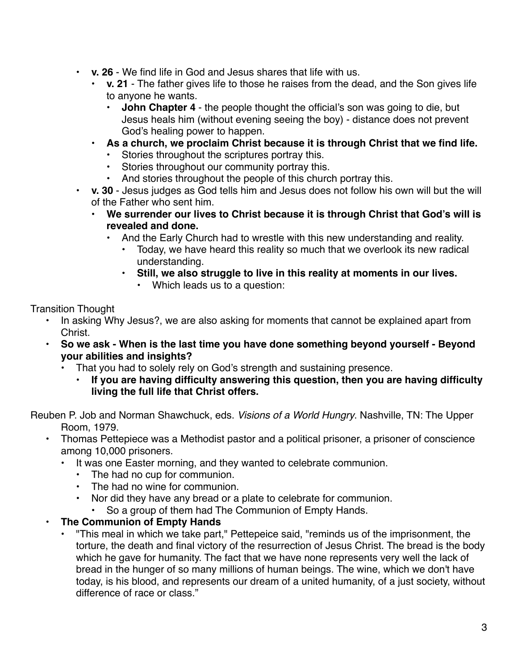- **• v. 26** We find life in God and Jesus shares that life with us.
	- **• v. 21** The father gives life to those he raises from the dead, and the Son gives life to anyone he wants.
		- **John Chapter 4** the people thought the official's son was going to die, but Jesus heals him (without evening seeing the boy) - distance does not prevent God's healing power to happen.
	- **• As a church, we proclaim Christ because it is through Christ that we find life.**
		- **•** Stories throughout the scriptures portray this.
		- **•** Stories throughout our community portray this.
		- **•** And stories throughout the people of this church portray this.
- **• v. 30** Jesus judges as God tells him and Jesus does not follow his own will but the will of the Father who sent him.
	- **• We surrender our lives to Christ because it is through Christ that God's will is revealed and done.**
		- And the Early Church had to wrestle with this new understanding and reality.
			- Today, we have heard this reality so much that we overlook its new radical understanding.
			- **• Still, we also struggle to live in this reality at moments in our lives.**
				- Which leads us to a question:

Transition Thought

- In asking Why Jesus?, we are also asking for moments that cannot be explained apart from Christ.
- **• So we ask When is the last time you have done something beyond yourself Beyond your abilities and insights?**
	- That you had to solely rely on God's strength and sustaining presence.
		- **• If you are having difficulty answering this question, then you are having difficulty living the full life that Christ offers.**

Reuben P. Job and Norman Shawchuck, eds. *Visions of a World Hungry*. Nashville, TN: The Upper Room, 1979.

- Thomas Pettepiece was a Methodist pastor and a political prisoner, a prisoner of conscience among 10,000 prisoners.
	- It was one Easter morning, and they wanted to celebrate communion.
		- The had no cup for communion.
		- The had no wine for communion.
		- Nor did they have any bread or a plate to celebrate for communion.
			- So a group of them had The Communion of Empty Hands.

## **• The Communion of Empty Hands**

• "This meal in which we take part," Pettepeice said, "reminds us of the imprisonment, the torture, the death and final victory of the resurrection of Jesus Christ. The bread is the body which he gave for humanity. The fact that we have none represents very well the lack of bread in the hunger of so many millions of human beings. The wine, which we don't have today, is his blood, and represents our dream of a united humanity, of a just society, without difference of race or class."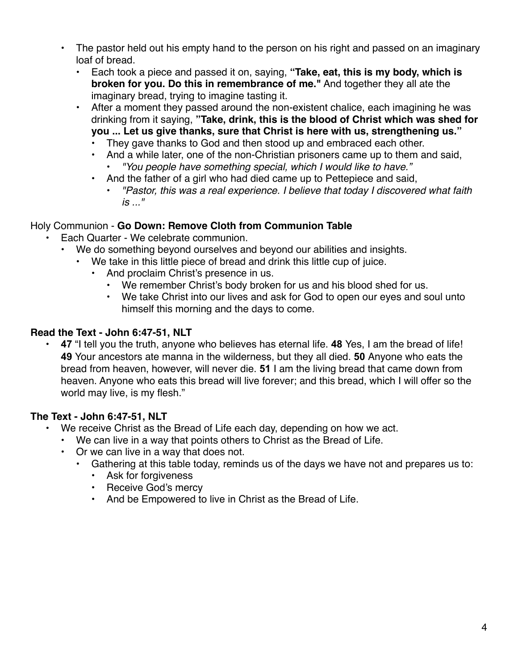- The pastor held out his empty hand to the person on his right and passed on an imaginary loaf of bread.
	- Each took a piece and passed it on, saying, **"Take, eat, this is my body, which is broken for you. Do this in remembrance of me."** And together they all ate the imaginary bread, trying to imagine tasting it.
	- After a moment they passed around the non-existent chalice, each imagining he was drinking from it saying, **"Take, drink, this is the blood of Christ which was shed for you ... Let us give thanks, sure that Christ is here with us, strengthening us."**
		- They gave thanks to God and then stood up and embraced each other.
		- And a while later, one of the non-Christian prisoners came up to them and said, • *"You people have something special, which I would like to have."*
		- And the father of a girl who had died came up to Pettepiece and said,
			- *"Pastor, this was a real experience. I believe that today I discovered what faith is ..."*

## Holy Communion - **Go Down: Remove Cloth from Communion Table**

- Each Quarter We celebrate communion.
	- We do something beyond ourselves and beyond our abilities and insights.
		- We take in this little piece of bread and drink this little cup of juice.
			- And proclaim Christ's presence in us.
				- We remember Christ's body broken for us and his blood shed for us.
				- We take Christ into our lives and ask for God to open our eyes and soul unto himself this morning and the days to come.

# **Read the Text - John 6:47-51, NLT**

• **47** "I tell you the truth, anyone who believes has eternal life. **48** Yes, I am the bread of life! **49** Your ancestors ate manna in the wilderness, but they all died. **50** Anyone who eats the bread from heaven, however, will never die. **51** I am the living bread that came down from heaven. Anyone who eats this bread will live forever; and this bread, which I will offer so the world may live, is my flesh."

## **The Text - John 6:47-51, NLT**

- We receive Christ as the Bread of Life each day, depending on how we act.
	- We can live in a way that points others to Christ as the Bread of Life.
	- Or we can live in a way that does not.
		- Gathering at this table today, reminds us of the days we have not and prepares us to:
			- Ask for forgiveness
			- Receive God's mercy
			- And be Empowered to live in Christ as the Bread of Life.